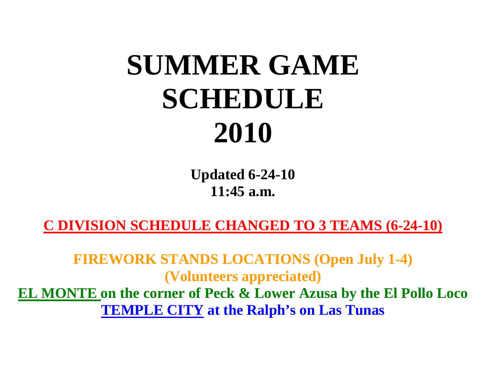## **SUMMER GAME SCHEDULE 2010**

**Updated 6-24-10 11:45 a.m.** 

**C DIVISION SCHEDULE CHANGED TO 3 TEAMS (6-24-10)**

**FIREWORK STANDS LOCATIONS (Open July 1-4) (Volunteers appreciated)**

**EL MONTE on the corner of Peck & Lower Azusa by the El Pollo Loco TEMPLE CITY at the Ralph's on Las Tunas**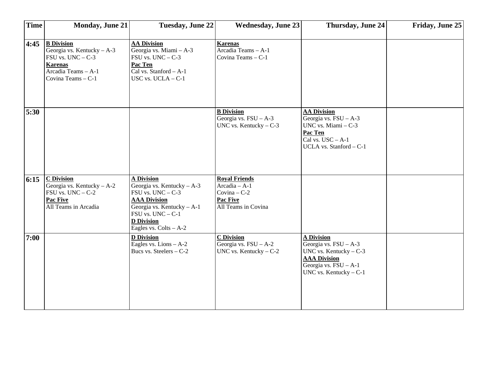| <b>Time</b> | <b>Monday, June 21</b>                                                                                                                      | <b>Tuesday, June 22</b>                                                                                                                                                                                     | <b>Wednesday, June 23</b>                                                                    | Thursday, June 24                                                                                                                                    | Friday, June 25 |
|-------------|---------------------------------------------------------------------------------------------------------------------------------------------|-------------------------------------------------------------------------------------------------------------------------------------------------------------------------------------------------------------|----------------------------------------------------------------------------------------------|------------------------------------------------------------------------------------------------------------------------------------------------------|-----------------|
| 4:45        | <b>B</b> Division<br>Georgia vs. Kentucky $- A - 3$<br>$FSU$ vs. $UNC - C-3$<br><b>Karenas</b><br>Arcadia Teams - A-1<br>Covina Teams - C-1 | <b>AA Division</b><br>Georgia vs. Miami - A-3<br>$FSU$ vs. $UNC - C-3$<br>Pac Ten<br>Cal vs. Stanford - A-1<br>USC vs. $UCLA - C-1$                                                                         | <b>Karenas</b><br>Arcadia Teams - A-1<br>Covina Teams - C-1                                  |                                                                                                                                                      |                 |
| 5:30        |                                                                                                                                             |                                                                                                                                                                                                             | <b>B</b> Division<br>Georgia vs. $FSU - A-3$<br>UNC vs. Kentucky $- C - 3$                   | <b>AA Division</b><br>Georgia vs. $FSU - A-3$<br>UNC vs. Miami - C-3<br>Pac Ten<br>Cal vs. $USC - A-1$<br>UCLA vs. Stanford - C-1                    |                 |
| 6:15        | C Division<br>Georgia vs. Kentucky $- A - 2$<br>$FSU$ vs. $UNC - C-2$<br>Pac Five<br>All Teams in Arcadia                                   | <b>A Division</b><br>Georgia vs. Kentucky $- A - 3$<br>$FSU$ vs. $UNC - C-3$<br><b>AAA Division</b><br>Georgia vs. Kentucky - A-1<br>$FSU$ vs. $UNC - C-1$<br><b>D</b> Division<br>Eagles vs. $Colts - A-2$ | <b>Royal Friends</b><br>$Arcadia - A-1$<br>$Covina - C-2$<br>Pac Five<br>All Teams in Covina |                                                                                                                                                      |                 |
| 7:00        |                                                                                                                                             | <b>D</b> Division<br>Eagles vs. Lions $-A-2$<br>Bucs vs. Steelers - C-2                                                                                                                                     | <b>C</b> Division<br>Georgia vs. $FSU - A-2$<br>UNC vs. Kentucky $- C-2$                     | <b>A Division</b><br>Georgia vs. $FSU - A-3$<br>UNC vs. Kentucky $-C-3$<br><b>AAA Division</b><br>Georgia vs. $FSU - A-1$<br>UNC vs. Kentucky $-C-1$ |                 |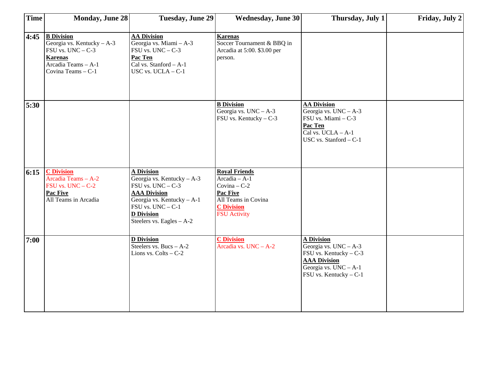| <b>Time</b> | <b>Monday, June 28</b>                                                                                                                | <b>Tuesday, June 29</b>                                                                                                                                                                                    | <b>Wednesday, June 30</b>                                                                                                                | Thursday, July 1                                                                                                                                    | Friday, July 2 |
|-------------|---------------------------------------------------------------------------------------------------------------------------------------|------------------------------------------------------------------------------------------------------------------------------------------------------------------------------------------------------------|------------------------------------------------------------------------------------------------------------------------------------------|-----------------------------------------------------------------------------------------------------------------------------------------------------|----------------|
| 4:45        | <b>B</b> Division<br>Georgia vs. Kentucky - A-3<br>FSU vs. $UNC - C-3$<br><b>Karenas</b><br>Arcadia Teams - A-1<br>Covina Teams - C-1 | <b>AA Division</b><br>Georgia vs. Miami - A-3<br>$FSU$ vs. $UNC - C-3$<br>Pac Ten<br>Cal vs. Stanford - A-1<br>USC vs. $UCLA - C-1$                                                                        | <b>Karenas</b><br>Soccer Tournament & BBQ in<br>Arcadia at 5:00. \$3.00 per<br>person.                                                   |                                                                                                                                                     |                |
| 5:30        |                                                                                                                                       |                                                                                                                                                                                                            | <b>B</b> Division<br>Georgia vs. $UNC - A-3$<br>FSU vs. Kentucky - C-3                                                                   | <b>AA Division</b><br>Georgia vs. $UNC - A-3$<br>FSU vs. Miami - C-3<br>Pac Ten<br>Cal vs. UCLA - A-1<br>USC vs. Stanford - C-1                     |                |
| 6:15        | <b>C</b> Division<br>Arcadia Teams - A-2<br>$FSU$ vs. $UNC - C-2$<br>Pac Five<br>All Teams in Arcadia                                 | <b>A Division</b><br>Georgia vs. Kentucky $- A - 3$<br>FSU vs. $UNC - C-3$<br><b>AAA Division</b><br>Georgia vs. Kentucky - A-1<br>$FSU$ vs. $UNC - C-1$<br><b>D</b> Division<br>Steelers vs. Eagles - A-2 | <b>Royal Friends</b><br>$Arcadia - A-1$<br>$Covina - C-2$<br>Pac Five<br>All Teams in Covina<br><b>C</b> Division<br><b>FSU</b> Activity |                                                                                                                                                     |                |
| 7:00        |                                                                                                                                       | <b>D</b> Division<br>Steelers vs. Bucs $- A - 2$<br>Lions vs. $Colts - C-2$                                                                                                                                | <b>C</b> Division<br>Arcadia vs. UNC - A-2                                                                                               | <b>A Division</b><br>Georgia vs. $UNC - A-3$<br>FSU vs. Kentucky $-C-3$<br><b>AAA Division</b><br>Georgia vs. $UNC - A-1$<br>FSU vs. Kentucky - C-1 |                |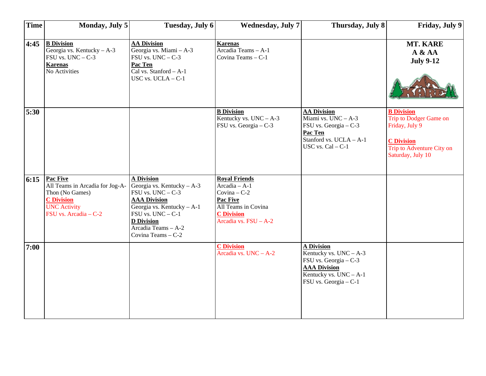| <b>Time</b> | Monday, July 5                                                                                                                      | Tuesday, July 6                                                                                                                                                                                                      | <b>Wednesday, July 7</b>                                                                                                                        | Thursday, July 8                                                                                                                                 | Friday, July 9                                                                                                                       |
|-------------|-------------------------------------------------------------------------------------------------------------------------------------|----------------------------------------------------------------------------------------------------------------------------------------------------------------------------------------------------------------------|-------------------------------------------------------------------------------------------------------------------------------------------------|--------------------------------------------------------------------------------------------------------------------------------------------------|--------------------------------------------------------------------------------------------------------------------------------------|
| 4:45        | <b>B</b> Division<br>Georgia vs. Kentucky $- A - 3$<br>$FSU$ vs. $UNC - C-3$<br><b>Karenas</b><br>No Activities                     | <b>AA Division</b><br>Georgia vs. Miami - A-3<br>FSU vs. $UNC - C-3$<br>Pac Ten<br>Cal vs. Stanford - A-1<br>USC vs. $UCLA - C-1$                                                                                    | <b>Karenas</b><br>Arcadia Teams - A-1<br>Covina Teams - C-1                                                                                     |                                                                                                                                                  | MT. KARE<br>A & A<br><b>July 9-12</b>                                                                                                |
| 5:30        |                                                                                                                                     |                                                                                                                                                                                                                      | <b>B</b> Division<br>Kentucky vs. $UNC - A-3$<br>FSU vs. Georgia - C-3                                                                          | <b>AA Division</b><br>Miami vs. UNC - A-3<br>FSU vs. Georgia - C-3<br>Pac Ten<br>Stanford vs. UCLA - A-1<br>USC vs. $Cal - C-1$                  | <b>B</b> Division<br>Trip to Dodger Game on<br>Friday, July 9<br><b>C</b> Division<br>Trip to Adventure City on<br>Saturday, July 10 |
| 6:15        | Pac Five<br>All Teams in Arcadia for Jog-A-<br>Thon (No Games)<br><b>C</b> Division<br><b>UNC Activity</b><br>FSU vs. Arcadia - C-2 | <b>A Division</b><br>Georgia vs. Kentucky - A-3<br>$FSU$ vs. $UNC - C-3$<br><b>AAA Division</b><br>Georgia vs. Kentucky - A-1<br>FSU vs. UNC - C-1<br><b>D</b> Division<br>Arcadia Teams - A-2<br>Covina Teams - C-2 | <b>Royal Friends</b><br>Arcadia - A-1<br>$Covina - C-2$<br><b>Pac Five</b><br>All Teams in Covina<br><b>C</b> Division<br>Arcadia vs. FSU - A-2 |                                                                                                                                                  |                                                                                                                                      |
| 7:00        |                                                                                                                                     |                                                                                                                                                                                                                      | <b>C</b> Division<br>Arcadia vs. UNC - A-2                                                                                                      | <b>A Division</b><br>Kentucky vs. $UNC - A-3$<br>FSU vs. Georgia - C-3<br><b>AAA Division</b><br>Kentucky vs. UNC - A-1<br>FSU vs. Georgia - C-1 |                                                                                                                                      |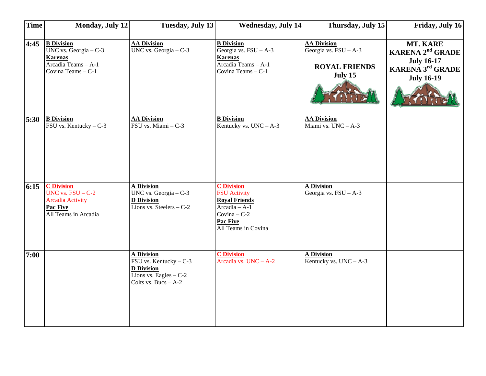| <b>Time</b> | <b>Monday, July 12</b>                                                                                         | <b>Tuesday, July 13</b>                                                                                                 | <b>Wednesday, July 14</b>                                                                                                                      | Thursday, July 15                                                                | Friday, July 16                                                                                                     |
|-------------|----------------------------------------------------------------------------------------------------------------|-------------------------------------------------------------------------------------------------------------------------|------------------------------------------------------------------------------------------------------------------------------------------------|----------------------------------------------------------------------------------|---------------------------------------------------------------------------------------------------------------------|
| 4:45        | <b>B</b> Division<br>UNC vs. Georgia $-C-3$<br><b>Karenas</b><br>Arcadia Teams $- A - 1$<br>Covina Teams - C-1 | <b>AA Division</b><br>UNC vs. Georgia $-$ C-3                                                                           | <b>B</b> Division<br>Georgia vs. FSU - A-3<br><b>Karenas</b><br>Arcadia Teams - A-1<br>Covina Teams - C-1                                      | <b>AA Division</b><br>Georgia vs. $FSU - A-3$<br><b>ROYAL FRIENDS</b><br>July 15 | MT. KARE<br><b>KARENA 2<sup>nd</sup> GRADE</b><br><b>July 16-17</b><br><b>KARENA 3rd GRADE</b><br><b>July 16-19</b> |
| 5:30        | <b>B</b> Division<br>$\overline{\text{FSU} \text{ vs. Kentucky}} - C-3$                                        | <b>AA Division</b><br>FSU vs. Miami - C-3                                                                               | <b>B</b> Division<br>Kentucky vs. $UNC - A-3$                                                                                                  | <b>AA Division</b><br>Miami vs. $UNC - A-3$                                      |                                                                                                                     |
| 6:15        | <b>C</b> Division<br>UNC vs. $FSU - C-2$<br><b>Arcadia Activity</b><br>Pac Five<br>All Teams in Arcadia        | <b>A Division</b><br>UNC vs. Georgia $-$ C-3<br><b>D</b> Division<br>Lions vs. Steelers $-C-2$                          | <b>C</b> Division<br><b>FSU</b> Activity<br><b>Royal Friends</b><br>$Arcadia - A-1$<br>Covina $-C-2$<br><b>Pac Five</b><br>All Teams in Covina | <b>A Division</b><br>Georgia vs. $FSU - A-3$                                     |                                                                                                                     |
| 7:00        |                                                                                                                | <b>A Division</b><br>FSU vs. Kentucky - C-3<br><b>D</b> Division<br>Lions vs. Eagles $-C-2$<br>Colts vs. Bucs $- A - 2$ | <b>C</b> Division<br>Arcadia vs. UNC - A-2                                                                                                     | <b>A Division</b><br>Kentucky vs. $UNC - A-3$                                    |                                                                                                                     |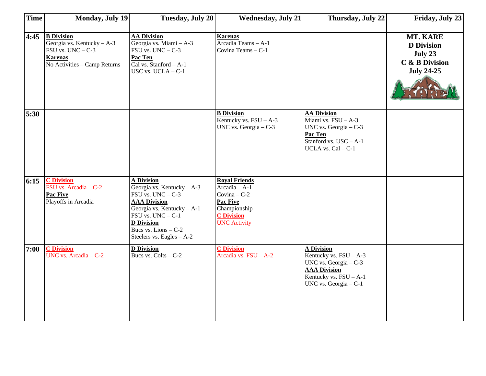| Time | <b>Monday, July 19</b>                                                                                                       | <b>Tuesday, July 20</b>                                                                                                                                                                                                           | <b>Wednesday, July 21</b>                                                                                                               | Thursday, July 22                                                                                                                                      | Friday, July 23                                                                 |
|------|------------------------------------------------------------------------------------------------------------------------------|-----------------------------------------------------------------------------------------------------------------------------------------------------------------------------------------------------------------------------------|-----------------------------------------------------------------------------------------------------------------------------------------|--------------------------------------------------------------------------------------------------------------------------------------------------------|---------------------------------------------------------------------------------|
| 4:45 | <b>B</b> Division<br>Georgia vs. Kentucky $- A - 3$<br>FSU vs. $UNC - C-3$<br><b>Karenas</b><br>No Activities - Camp Returns | <b>AA Division</b><br>Georgia vs. Miami - A-3<br>$FSU$ vs. $UNC - C-3$<br>Pac Ten<br>Cal vs. Stanford - A-1<br>USC vs. UCLA - C-1                                                                                                 | <b>Karenas</b><br>Arcadia Teams - A-1<br>Covina Teams - C-1                                                                             |                                                                                                                                                        | MT. KARE<br><b>D</b> Division<br>July 23<br>C & B Division<br><b>July 24-25</b> |
| 5:30 |                                                                                                                              |                                                                                                                                                                                                                                   | <b>B</b> Division<br>Kentucky vs. $FSU - A-3$<br>UNC vs. Georgia $-$ C-3                                                                | <b>AA Division</b><br>Miami vs. FSU - A-3<br>UNC vs. Georgia $-$ C-3<br>Pac Ten<br>Stanford vs. USC - A-1<br>UCLA vs. Cal - C-1                        |                                                                                 |
| 6:15 | <b>C</b> Division<br>FSU vs. Arcadia - C-2<br><b>Pac Five</b><br>Playoffs in Arcadia                                         | <b>A Division</b><br>Georgia vs. Kentucky $- A - 3$<br>$FSU$ vs. $UNC - C-3$<br><b>AAA Division</b><br>Georgia vs. Kentucky - A-1<br>FSU vs. UNC - C-1<br><b>D</b> Division<br>Bucs vs. Lions $-C-2$<br>Steelers vs. Eagles - A-2 | <b>Royal Friends</b><br>$Arcadia - A-1$<br>Covina $-C-2$<br><b>Pac Five</b><br>Championship<br><b>C</b> Division<br><b>UNC Activity</b> |                                                                                                                                                        |                                                                                 |
| 7:00 | <b>C</b> Division<br>UNC vs. Arcadia - C-2                                                                                   | <b>D</b> Division<br>Bucs vs. Colts - C-2                                                                                                                                                                                         | <b>C</b> Division<br>Arcadia vs. $FSU - A-2$                                                                                            | <b>A Division</b><br>Kentucky vs. $FSU - A-3$<br>UNC vs. Georgia $-$ C-3<br><b>AAA Division</b><br>Kentucky vs. $FSU - A-1$<br>UNC vs. Georgia $-$ C-1 |                                                                                 |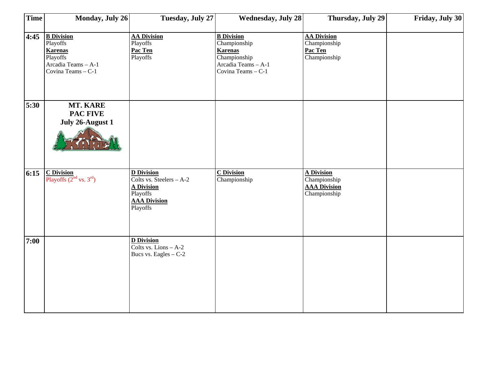| <b>Time</b> | Monday, July 26                                                                                          | Tuesday, July 27                                                                                                  | <b>Wednesday, July 28</b>                                                                                        | Thursday, July 29                                                        | Friday, July 30 |
|-------------|----------------------------------------------------------------------------------------------------------|-------------------------------------------------------------------------------------------------------------------|------------------------------------------------------------------------------------------------------------------|--------------------------------------------------------------------------|-----------------|
| 4:45        | <b>B</b> Division<br>Playoffs<br><b>Karenas</b><br>Playoffs<br>Arcadia Teams - A-1<br>Covina Teams - C-1 | <b>AA Division</b><br>Playoffs<br>Pac Ten<br>Playoffs                                                             | <b>B</b> Division<br>Championship<br><b>Karenas</b><br>Championship<br>Arcadia Teams - A-1<br>Covina Teams - C-1 | <b>AA Division</b><br>Championship<br>Pac Ten<br>Championship            |                 |
| 5:30        | MT. KARE<br><b>PAC FIVE</b><br>July 26-August 1                                                          |                                                                                                                   |                                                                                                                  |                                                                          |                 |
| 6:15        | $\frac{\text{C Division}}{\text{Playoffs } (2^{\text{nd}} \text{ vs. } 3^{\text{rd}})}$                  | <b>D</b> Division<br>Colts vs. Steelers - A-2<br><b>A Division</b><br>Playoffs<br><b>AAA Division</b><br>Playoffs | <b>C</b> Division<br>Championship                                                                                | <b>A Division</b><br>Championship<br><b>AAA Division</b><br>Championship |                 |
| 7:00        |                                                                                                          | <b>D</b> Division<br>Colts vs. Lions $- A - 2$<br>Bucs vs. Eagles $-C-2$                                          |                                                                                                                  |                                                                          |                 |